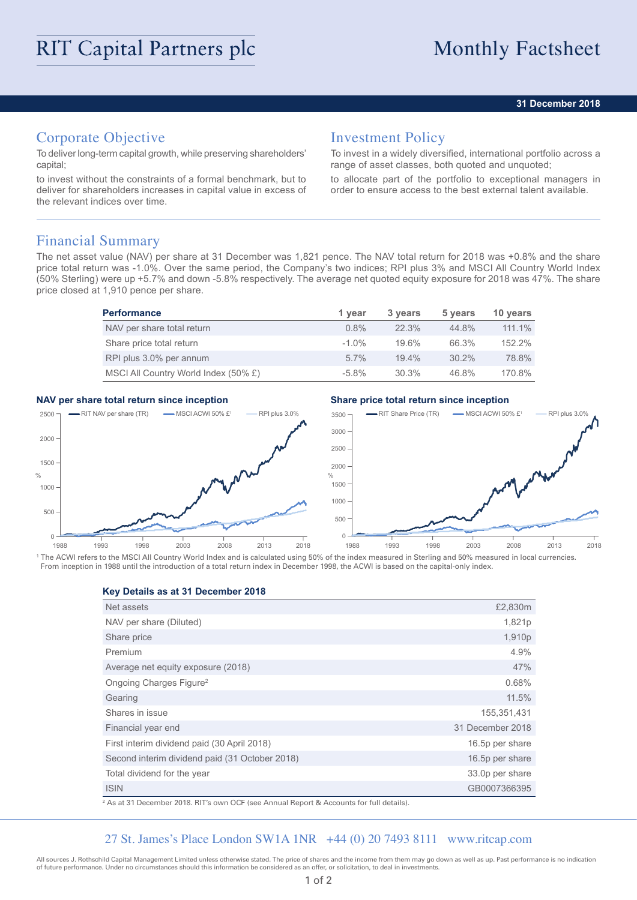## **31 December 2018**

# Corporate Objective

To deliver long-term capital growth, while preserving shareholders' capital;

to invest without the constraints of a formal benchmark, but to deliver for shareholders increases in capital value in excess of the relevant indices over time.

## Investment Policy

To invest in a widely diversified, international portfolio across a range of asset classes, both quoted and unquoted;

to allocate part of the portfolio to exceptional managers in order to ensure access to the best external talent available.

## Financial Summary

The net asset value (NAV) per share at 31 December was 1,821 pence. The NAV total return for 2018 was +0.8% and the share price total return was -1.0%. Over the same period, the Company's two indices; RPI plus 3% and MSCI All Country World Index (50% Sterling) were up +5.7% and down -5.8% respectively. The average net quoted equity exposure for 2018 was 47%. The share price closed at 1,910 pence per share.

| <b>Performance</b>                   | 1 year   | 3 years  | 5 years  | 10 years  |
|--------------------------------------|----------|----------|----------|-----------|
| NAV per share total return           | $0.8\%$  | $22.3\%$ | 44.8%    | $111.1\%$ |
| Share price total return             | $-1.0\%$ | 19.6%    | 66.3%    | 152.2%    |
| RPI plus 3.0% per annum              | $5.7\%$  | 19.4%    | $30.2\%$ | 78.8%     |
| MSCI All Country World Index (50% £) | $-5.8\%$ | 30.3%    | 46.8%    | 170.8%    |

## **NAV per share total return since inception Share price total return since inception**



<sup>1</sup> The ACWI refers to the MSCI All Country World Index and is calculated using 50% of the index measured in Sterling and 50% measured in local currencies. From inception in 1988 until the introduction of a total return index in December 1998, the ACWI is based on the capital-only index.

**Key Details as at 31 December 2018**

| Net assets                                     | £2,830m          |
|------------------------------------------------|------------------|
| NAV per share (Diluted)                        | 1,821p           |
| Share price                                    | 1,910p           |
| Premium                                        | 4.9%             |
| Average net equity exposure (2018)             | 47%              |
| Ongoing Charges Figure <sup>2</sup>            | 0.68%            |
| Gearing                                        | 11.5%            |
| Shares in issue                                | 155,351,431      |
| Financial year end                             | 31 December 2018 |
| First interim dividend paid (30 April 2018)    | 16.5p per share  |
| Second interim dividend paid (31 October 2018) | 16.5p per share  |
| Total dividend for the year                    | 33.0p per share  |
| <b>ISIN</b>                                    | GB0007366395     |

2 As at 31 December 2018. RIT's own OCF (see Annual Report & Accounts for full details).

## 27 St. James's Place London SW1A 1NR +44 (0) 20 7493 8111 www.ritcap.com

All sources J. Rothschild Capital Management Limited unless otherwise stated. The price of shares and the income from them may go down as well as up. Past performance is no indication of future performance. Under no circumstances should this information be considered as an offer, or solicitation, to deal in investments.